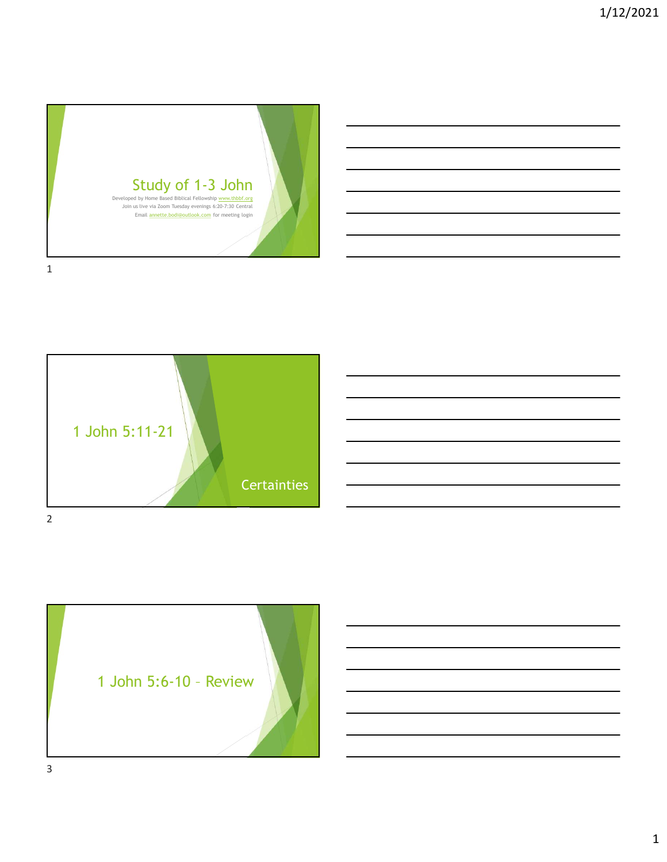





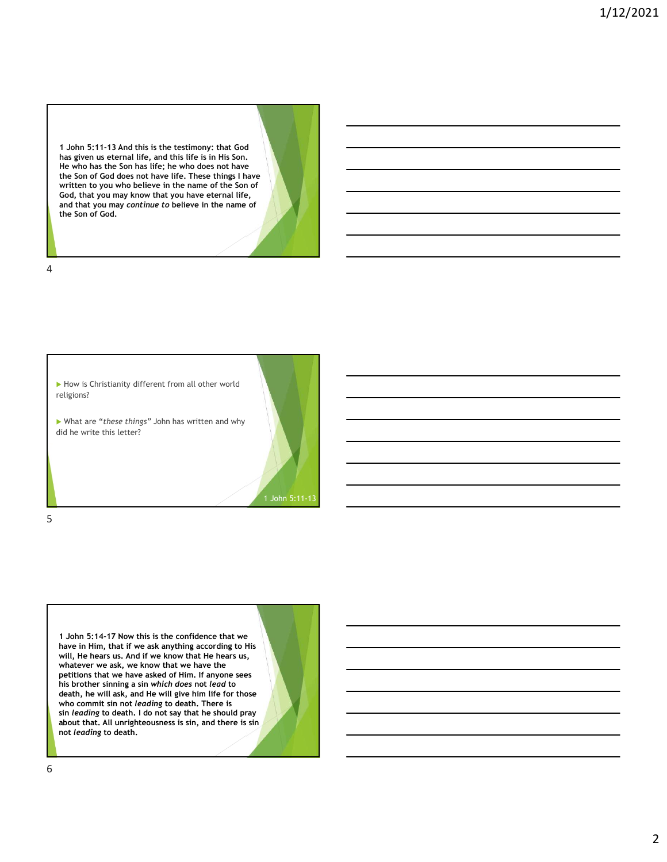1 John 5:11-13 And this is the testimony: that God has given us eternal life, and this life is in His Son. He who has the Son has life; he who does not have the Son of God does not have life. These things I have written to you who believe in the name of the Son of God, that you may know that you have eternal life, and that you may continue to believe in the name of the Son of God.

4



1 John 5:14-17 Now this is the confidence that we have in Him, that if we ask anything according to His will, He hears us. And if we know that He hears us, whatever we ask, we know that we have the<br>petitions that we have asked of Him. If anyone sees his brother sinning a sin which does not lead to death, he will ask, and He will give him life for those who commit sin not leading to death. There is sin leading to death. I do not say that he should pray about that. All unrighteousness is sin, and there is sin not leading to death.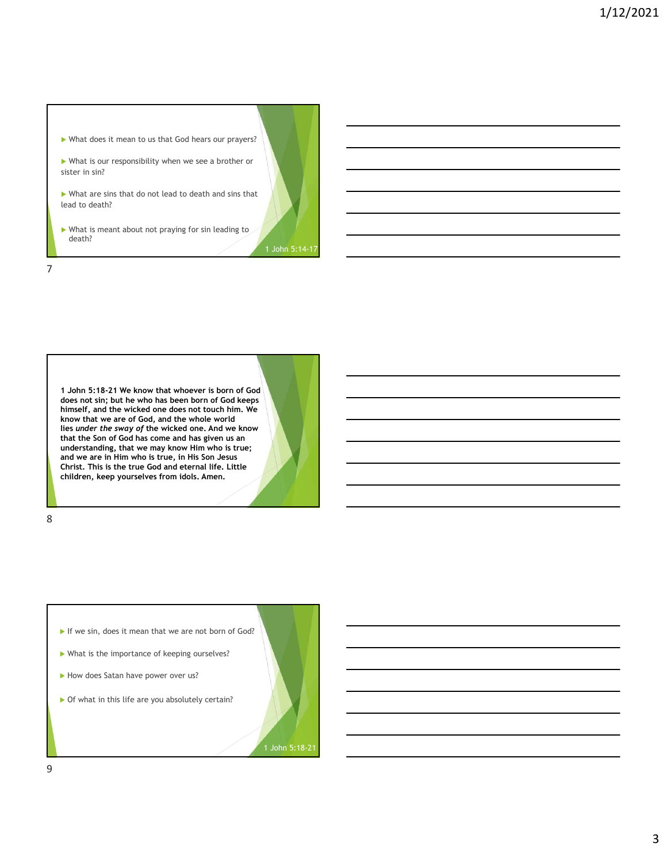![](_page_2_Figure_1.jpeg)

1 John 5:18-21 We know that whoever is born of God does not sin; but he who has been born of God keeps himself, and the wicked one does not touch him. We know that we are of God, and the whole world that the Son of God has come and has given us an understanding, that we may know Him who is true; and we are in Him who is true, in His Son Jesus Christ. This is the true God and eternal life. Little children, keep yourselves from idols. Amen.

8 and 2010 and 2010 and 2010 and 2010 and 2010 and 2010 and 2010 and 2010 and 2010 and 2010 and 2010 and 2010

![](_page_2_Figure_5.jpeg)